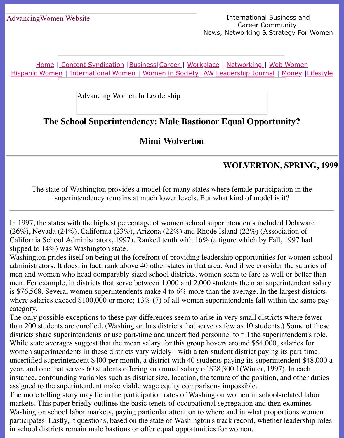Home | Content Syndication | Business | Career | Workplace | Networking | Web Wo Hispanic Women | International Women | Women in Society | AW Leadership Journal | Mon

Advancing Women In Leadership

# **[Th](http://www.advancingwomen.com/index.html)e [School Superinte](file:///content.html)[ndency:](file:///business.html) [Male](file:///awcareer.html) [Bastionor](file:///workplace.html) [Equal Opp](file:///networks.html)o[rtunity?](file:///web.html)**

## **Mimi Wolverton**

#### **WOLVERTON, SH**

The state of Washington provides a model for many states where female participation superintendency remains at much lower levels. But what kind of model is it?

In 1997, the states with the highest percentage of women school superintendents included De (26%), Nevada (24%), California (23%), Arizona (22%) and Rhode Island (22%) (Association California School Administrators, 1997). Ranked tenth with  $16\%$  (a figure which by Fall, 19 slipped to 14%) was Washington state.

Washington prides itself on being at the forefront of providing leadership opportunities for w administrators. It does, in fact, rank above 40 other states in that area. And if we consider the men and women who head comparably sized school districts, women seem to fare as well or men. For example, in districts that serve between  $1,000$  and  $2,000$  students the man superintendent salary is \$76,568. Several women superintendents make 4 to 6% more than the average. In the large where salaries exceed \$100,000 or more;  $13\%$  (7) of all women superintendents fall within the same pays where  $\frac{13\%}{100}$  (7) of all women superintendents fall within the same pays where  $\frac{13\%}{100}$  (7) of all wom category.

The only possible exceptions to these pay differences seem to arise in very small districts where  $\frac{1}{2}$ than 200 students are enrolled. (Washington has districts that serve as few as 10 students.) Some districts share superintendents or use part-time and uncertified personnel to fill the superintendents While state averages suggest that the mean salary for this group hovers around \$54,000, salarwomen superintendents in these districts vary widely - with a ten-student district paying its partuncertified superintendent \$400 per month, a district with 40 students paying its superintendent year, and one that serves 60 students offering an annual salary of \$28,300 1 (Winter, 1997). In instance, confounding variables such as district size, location, the tenure of the position, and assigned to the superintendent make viable wage equity comparisons impossible.

The more telling story may lie in the participation rates of Washington women in school-rela markets. This paper briefly outlines the basic tenets of occupational segregation and then examents. Washington school labor markets, paying particular attention to where and in what proportion participates. Lastly, it questions, based on the state of Washington's track record, whether lea in school districts remain male bastions or offer equal opportunities for women.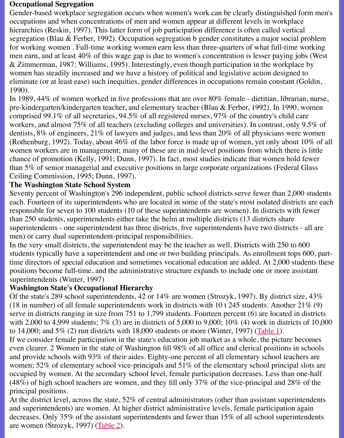men earn, and at least 40% of this wage gap is due to women's concentration is lesser paying jobs (West  $& Zimmerman, 1987; Williams, 1995)$ . Interestingly, even though participation in the workp women has steadily increased and we have a history of political and legislative action design eliminate (or at least ease) such inequities, gender differences in occupations remain constant 1990).

In 1989, 44% of women worked in five professions that are over 80% female - dietitian, library pre-kindergarten/kindergarten teacher, and elementary teacher (Blau & Ferber, 1992). In 199 comprised 99.1% of all secretaries, 94.5% of all registered nurses, 97% of the country's child workers, and almost 75% of all teachers (excluding colleges and universities). In contrast, or dentists, 8% of engineers, 21% of lawyers and judges, and less than 20% of all physicians wo (Rothenburg, 1992). Today, about  $46\%$  of the labor force is made up of women, yet only abo women workers are in management; many of these are in mid-level positions from which the chance of promotion (Kelly, 1991; Dunn, 1997). In fact, most studies indicate that women ho than  $5\%$  of senior managerial and executive positions in large corporate organizations (Federal Glass) Ceiling Commission, 1995; Dunn, 1997).

### **The Washington State School System**

Seventy percent of Washington's 296 independent, public school districts serve fewer than 2. each. Fourteen of its superintendents who are located in some of the state's most isolated districts are each. responsible for seven to 100 students (10 of these superintendents are women). In districts w than 250 students, superintendents either take the helm at multiple districts (13 districts share superintendents - one superintendent has three districts, five superintendents have two districts men) or carry dual superintendent-principal responsibilities.

In the very small districts, the superintendent may be the teacher as well. Districts with 250 to students typically have a superintendent and one or two building principals. As enrollment to time directors of special education and sometimes vocational education are added. At 2,000 positions become full-time, and the administrative structure expands to include one or more superintendents (Winter, 1997)

## **Washington State's Occupational Hierarchy**

Of the state's 289 school superintendents, 42 or  $14\%$  are women (Strozyk, 1997). By district (18 in number) of all female superintendents work in districts with 10 t 245 students. Another serve in districts ranging in size from  $751$  to 1,799 students. Fourteen percent  $(6)$  are located with 2,000 to 4,999 students;  $7\%$  (3) are in districts of 5,000 to 9,000;  $10\%$  (4) work in distri to 14,000; and 5% (2) run districts with 18,000 students or more (Winter, 1997) (Table 1).

If we consider female participation in the state's education job market as a whole, the picture even clearer. 2 Women in the state of Washington fill 98% of all office and clerical positions and provide schools with  $93\%$  of their aides. Eighty-one percent of all elementary school tea women;  $52\%$  of elementary school vice-principals and  $51\%$  of the elementary school princip occupied by women. At the secondary school level, female participation decreases. Less than (48%) of high school teachers are women, and they fill only 37% of the vice-pri[ncipal an](file:///Users/nrahman/Google%20Drive/Dropbox/AWL/AWL%20Aug3/spring99/Wolverton/woltb1.html)d 2 principal positions.

At the district level, across the state,  $52\%$  of central administrators (other than assistant super and superintendents) are women. At higher district administrative levels, female participation decreases. Only 35% of the assistant superintendents and fewer than 15% of all school super are women (Strozyk, 1997) (Table 2).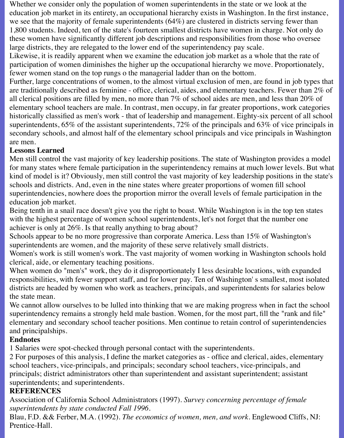Whether we consider only the population of women superintendents in the state or we look at the education job market in its entirety, an occupational hierarchy exists in Washington. In the first instance, we see that the majority of female superintendents (64%) are clustered in districts serving fewer than 1,800 students. Indeed, ten of the state's fourteen smallest districts have women in charge. Not only do these women have significantly different job descriptions and responsibilities from those who oversee large districts, they are relegated to the lower end of the superintendency pay scale.

Likewise, it is readily apparent when we examine the education job market as a whole that the rate of participation of women diminishes the higher up the occupational hierarchy we move. Proportionately, fewer women stand on the top rungs o the managerial ladder than on the bottom.

Further, large concentrations of women, to the almost virtual exclusion of men, are found in job types that are traditionally described as feminine - office, clerical, aides, and elementary teachers. Fewer than 2% of all clerical positions are filled by men, no more than 7% of school aides are men, and less than 20% of elementary school teachers are male. In contrast, men occupy, in far greater proportions, work categories historically classified as men's work - that of leadership and management. Eighty-six percent of all school superintendents, 65% of the assistant superintendents, 72% of the principals and 63% of vice principals in secondary schools, and almost half of the elementary school principals and vice principals in Washington are men.

## **Lessons Learned**

Men still control the vast majority of key leadership positions. The state of Washington provides a model for many states where female participation in the superintendency remains at much lower levels. But what kind of model is it? Obviously, men still control the vast majority of key leadership positions in the state's schools and districts. And, even in the nine states where greater proportions of women fill school superintendencies, nowhere does the proportion mirror the overall levels of female participation in the education job market.

Being tenth in a snail race doesn't give you the right to boast. While Washington is in the top ten states with the highest percentage of women school superintendents, let's not forget that the number one achiever is only at 26%. Is that really anything to brag about?

Schools appear to be no more progressive than corporate America. Less than 15% of Washington's superintendents are women, and the majority of these serve relatively small districts.

Women's work is still women's work. The vast majority of women working in Washington schools hold clerical, aide, or elementary teaching positions.

When women do "men's" work, they do it disproportionately I less desirable locations, with expanded responsibilities, with fewer support staff, and for lower pay. Ten of Washington' s smallest, most isolated districts are headed by women who work as teachers, principals, and superintendents for salaries below the state mean.

We cannot allow ourselves to be lulled into thinking that we are making progress when in fact the school superintendency remains a strongly held male bastion. Women, for the most part, fill the "rank and file" elementary and secondary school teacher positions. Men continue to retain control of superintendencies and principalships.

### **Endnotes**

1 Salaries were spot-checked through personal contact with the superintendents.

2 For purposes of this analysis, I define the market categories as - office and clerical, aides, elementary school teachers, vice-principals, and principals; secondary school teachers, vice-principals, and principals; district administrators other than superintendent and assistant superintendent; assistant superintendents; and superintendents.

### **REFERENCES**

Association of California School Administrators (1997). *Survey concerning percentage of female superintendents by state conducted Fall 1996.*

Blau, F.D. && Ferber, M.A. (1992). *The economics of women, men, and work*. Englewood Cliffs, NJ: Prentice-Hall.